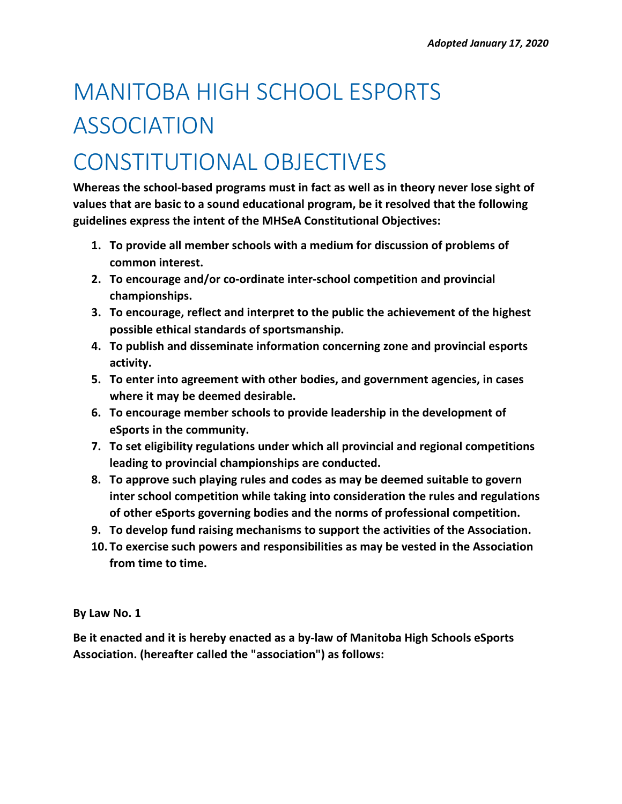# MANITOBA HIGH SCHOOL ESPORTS ASSOCIATION

# CONSTITUTIONAL OBJECTIVES

**Whereas the school-based programs must in fact as well as in theory never lose sight of values that are basic to a sound educational program, be it resolved that the following guidelines express the intent of the MHSeA Constitutional Objectives:**

- **1. To provide all member schools with a medium for discussion of problems of common interest.**
- **2. To encourage and/or co-ordinate inter-school competition and provincial championships.**
- **3. To encourage, reflect and interpret to the public the achievement of the highest possible ethical standards of sportsmanship.**
- **4. To publish and disseminate information concerning zone and provincial esports activity.**
- **5. To enter into agreement with other bodies, and government agencies, in cases where it may be deemed desirable.**
- **6. To encourage member schools to provide leadership in the development of eSports in the community.**
- **7. To set eligibility regulations under which all provincial and regional competitions leading to provincial championships are conducted.**
- **8. To approve such playing rules and codes as may be deemed suitable to govern inter school competition while taking into consideration the rules and regulations of other eSports governing bodies and the norms of professional competition.**
- **9. To develop fund raising mechanisms to support the activities of the Association.**
- **10. To exercise such powers and responsibilities as may be vested in the Association from time to time.**

**By Law No. 1** 

**Be it enacted and it is hereby enacted as a by-law of Manitoba High Schools eSports Association. (hereafter called the "association") as follows:**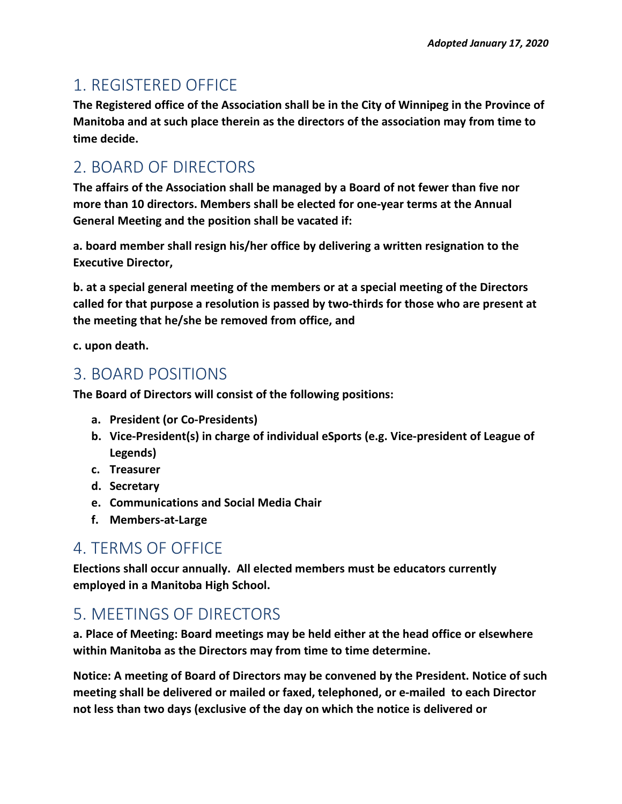# 1. REGISTERED OFFICE

**The Registered office of the Association shall be in the City of Winnipeg in the Province of Manitoba and at such place therein as the directors of the association may from time to time decide.**

# 2. BOARD OF DIRECTORS

**The affairs of the Association shall be managed by a Board of not fewer than five nor more than 10 directors. Members shall be elected for one-year terms at the Annual General Meeting and the position shall be vacated if:**

**a. board member shall resign his/her office by delivering a written resignation to the Executive Director,**

**b. at a special general meeting of the members or at a special meeting of the Directors called for that purpose a resolution is passed by two-thirds for those who are present at the meeting that he/she be removed from office, and**

**c. upon death.**

#### 3. BOARD POSITIONS

**The Board of Directors will consist of the following positions:**

- **a. President (or Co-Presidents)**
- **b. Vice-President(s) in charge of individual eSports (e.g. Vice-president of League of Legends)**
- **c. Treasurer**
- **d. Secretary**
- **e. Communications and Social Media Chair**
- **f. Members-at-Large**

# 4. TERMS OF OFFICE

**Elections shall occur annually. All elected members must be educators currently employed in a Manitoba High School.**

# 5. MEETINGS OF DIRECTORS

**a. Place of Meeting: Board meetings may be held either at the head office or elsewhere within Manitoba as the Directors may from time to time determine.**

**Notice: A meeting of Board of Directors may be convened by the President. Notice of such meeting shall be delivered or mailed or faxed, telephoned, or e-mailed to each Director not less than two days (exclusive of the day on which the notice is delivered or**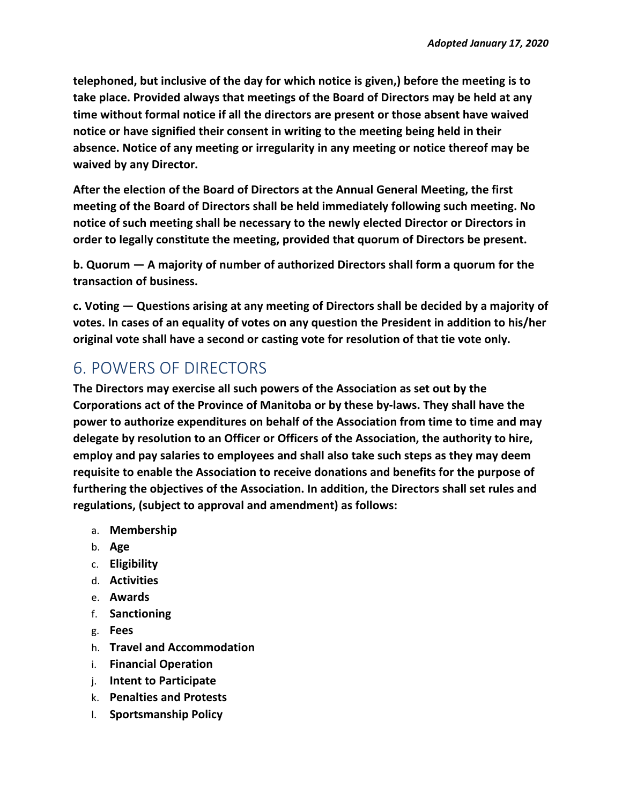**telephoned, but inclusive of the day for which notice is given,) before the meeting is to take place. Provided always that meetings of the Board of Directors may be held at any time without formal notice if all the directors are present or those absent have waived notice or have signified their consent in writing to the meeting being held in their absence. Notice of any meeting or irregularity in any meeting or notice thereof may be waived by any Director.**

**After the election of the Board of Directors at the Annual General Meeting, the first meeting of the Board of Directors shall be held immediately following such meeting. No notice of such meeting shall be necessary to the newly elected Director or Directors in order to legally constitute the meeting, provided that quorum of Directors be present.**

**b. Quorum — A majority of number of authorized Directors shall form a quorum for the transaction of business.**

**c. Voting — Questions arising at any meeting of Directors shall be decided by a majority of votes. In cases of an equality of votes on any question the President in addition to his/her original vote shall have a second or casting vote for resolution of that tie vote only.**

# 6. POWERS OF DIRECTORS

**The Directors may exercise all such powers of the Association as set out by the Corporations act of the Province of Manitoba or by these by-laws. They shall have the power to authorize expenditures on behalf of the Association from time to time and may delegate by resolution to an Officer or Officers of the Association, the authority to hire, employ and pay salaries to employees and shall also take such steps as they may deem requisite to enable the Association to receive donations and benefits for the purpose of furthering the objectives of the Association. In addition, the Directors shall set rules and regulations, (subject to approval and amendment) as follows:**

- a. **Membership**
- b. **Age**
- c. **Eligibility**
- d. **Activities**
- e. **Awards**
- f. **Sanctioning**
- g. **Fees**
- h. **Travel and Accommodation**
- i. **Financial Operation**
- j. **Intent to Participate**
- k. **Penalties and Protests**
- l. **Sportsmanship Policy**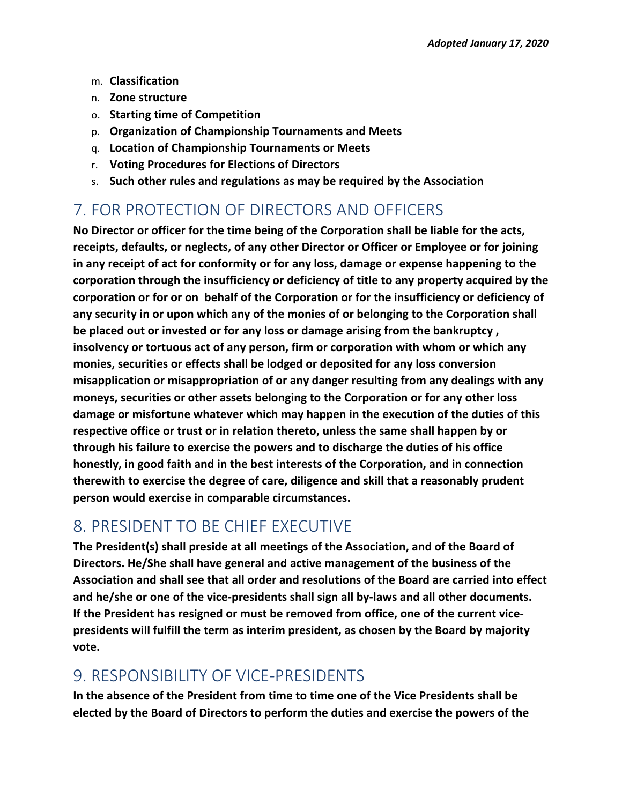- m. **Classification**
- n. **Zone structure**
- o. **Starting time of Competition**
- p. **Organization of Championship Tournaments and Meets**
- q. **Location of Championship Tournaments or Meets**
- r. **Voting Procedures for Elections of Directors**
- s. **Such other rules and regulations as may be required by the Association**

#### 7. FOR PROTECTION OF DIRECTORS AND OFFICERS

**No Director or officer for the time being of the Corporation shall be liable for the acts, receipts, defaults, or neglects, of any other Director or Officer or Employee or for joining in any receipt of act for conformity or for any loss, damage or expense happening to the corporation through the insufficiency or deficiency of title to any property acquired by the corporation or for or on behalf of the Corporation or for the insufficiency or deficiency of any security in or upon which any of the monies of or belonging to the Corporation shall be placed out or invested or for any loss or damage arising from the bankruptcy , insolvency or tortuous act of any person, firm or corporation with whom or which any monies, securities or effects shall be lodged or deposited for any loss conversion misapplication or misappropriation of or any danger resulting from any dealings with any moneys, securities or other assets belonging to the Corporation or for any other loss damage or misfortune whatever which may happen in the execution of the duties of this respective office or trust or in relation thereto, unless the same shall happen by or through his failure to exercise the powers and to discharge the duties of his office honestly, in good faith and in the best interests of the Corporation, and in connection therewith to exercise the degree of care, diligence and skill that a reasonably prudent person would exercise in comparable circumstances.**

# 8. PRESIDENT TO BE CHIEF EXECUTIVE

**The President(s) shall preside at all meetings of the Association, and of the Board of Directors. He/She shall have general and active management of the business of the Association and shall see that all order and resolutions of the Board are carried into effect and he/she or one of the vice-presidents shall sign all by-laws and all other documents. If the President has resigned or must be removed from office, one of the current vicepresidents will fulfill the term as interim president, as chosen by the Board by majority vote.**

#### 9. RESPONSIBILITY OF VICE-PRESIDENTS

**In the absence of the President from time to time one of the Vice Presidents shall be elected by the Board of Directors to perform the duties and exercise the powers of the**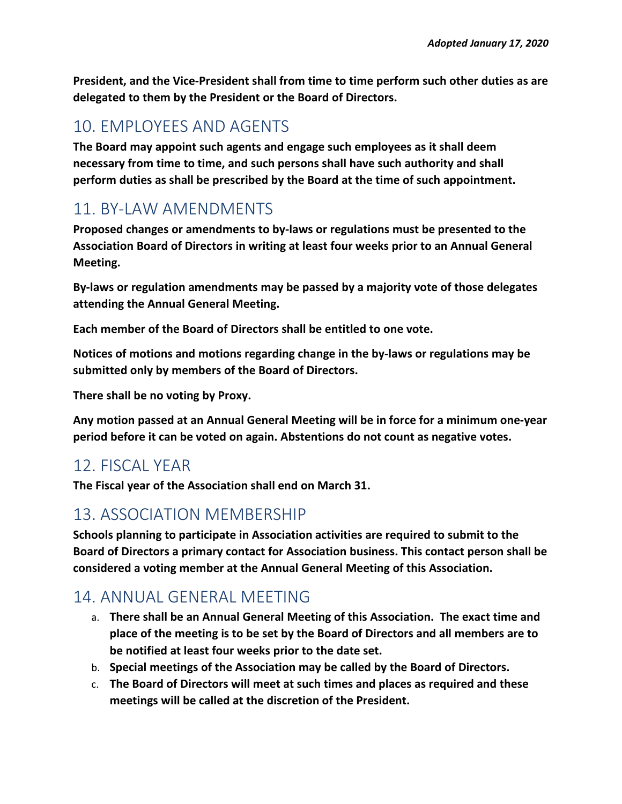**President, and the Vice-President shall from time to time perform such other duties as are delegated to them by the President or the Board of Directors.**

# 10. EMPLOYEES AND AGENTS

**The Board may appoint such agents and engage such employees as it shall deem necessary from time to time, and such persons shall have such authority and shall perform duties as shall be prescribed by the Board at the time of such appointment.**

# 11. BY-LAW AMENDMENTS

**Proposed changes or amendments to by-laws or regulations must be presented to the Association Board of Directors in writing at least four weeks prior to an Annual General Meeting.**

**By-laws or regulation amendments may be passed by a majority vote of those delegates attending the Annual General Meeting.** 

**Each member of the Board of Directors shall be entitled to one vote.**

**Notices of motions and motions regarding change in the by-laws or regulations may be submitted only by members of the Board of Directors.** 

**There shall be no voting by Proxy.**

**Any motion passed at an Annual General Meeting will be in force for a minimum one-year period before it can be voted on again. Abstentions do not count as negative votes.**

# 12. FISCAL YEAR

**The Fiscal year of the Association shall end on March 31.**

# 13. ASSOCIATION MEMBERSHIP

**Schools planning to participate in Association activities are required to submit to the Board of Directors a primary contact for Association business. This contact person shall be considered a voting member at the Annual General Meeting of this Association.**

# 14. ANNUAL GENERAL MEETING

- a. **There shall be an Annual General Meeting of this Association. The exact time and place of the meeting is to be set by the Board of Directors and all members are to be notified at least four weeks prior to the date set.**
- b. **Special meetings of the Association may be called by the Board of Directors.**
- c. **The Board of Directors will meet at such times and places as required and these meetings will be called at the discretion of the President.**